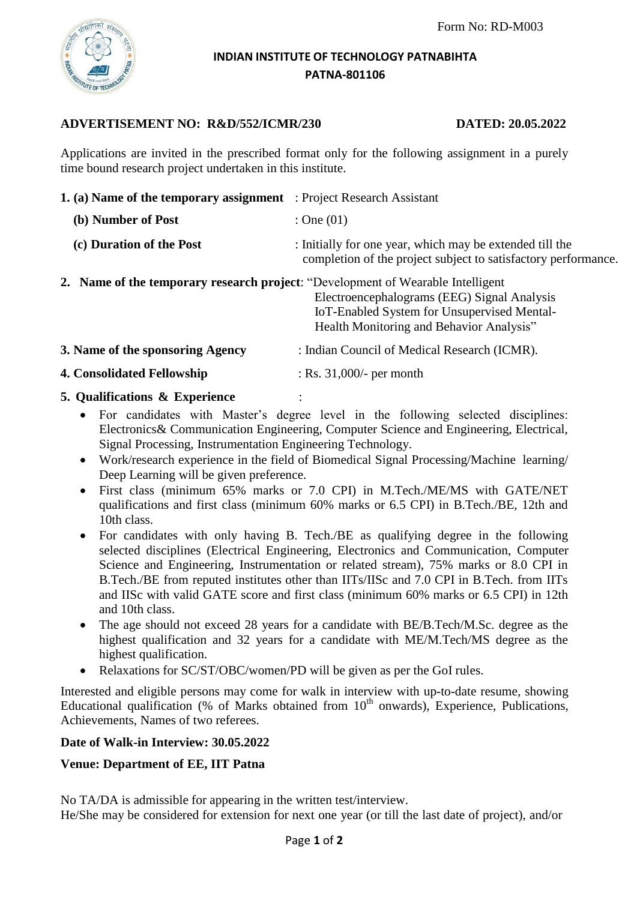

### **INDIAN INSTITUTE OF TECHNOLOGY PATNABIHTA PATNA-801106**

# **ADVERTISEMENT NO: R&D/552/ICMR/230 DATED: 20.05.2022**

Applications are invited in the prescribed format only for the following assignment in a purely time bound research project undertaken in this institute.

| <b>1. (a) Name of the temporary assignment</b> : Project Research Assistant                                                                                                                                                      |
|----------------------------------------------------------------------------------------------------------------------------------------------------------------------------------------------------------------------------------|
| : One $(01)$                                                                                                                                                                                                                     |
| : Initially for one year, which may be extended till the<br>completion of the project subject to satisfactory performance.                                                                                                       |
| <b>2. Name of the temporary research project: "Development of Wearable Intelligent</b><br>Electroencephalograms (EEG) Signal Analysis<br>IoT-Enabled System for Unsupervised Mental-<br>Health Monitoring and Behavior Analysis" |
| : Indian Council of Medical Research (ICMR).                                                                                                                                                                                     |
| $:$ Rs. 31,000/- per month                                                                                                                                                                                                       |
|                                                                                                                                                                                                                                  |

## **5. Qualifications & Experience** :

- For candidates with Master's degree level in the following selected disciplines: Electronics& Communication Engineering, Computer Science and Engineering, Electrical, Signal Processing, Instrumentation Engineering Technology.
- Work/research experience in the field of Biomedical Signal Processing/Machine learning/ Deep Learning will be given preference.
- First class (minimum 65% marks or 7.0 CPI) in M.Tech./ME/MS with GATE/NET qualifications and first class (minimum 60% marks or 6.5 CPI) in B.Tech./BE, 12th and 10th class.
- For candidates with only having B. Tech./BE as qualifying degree in the following selected disciplines (Electrical Engineering, Electronics and Communication, Computer Science and Engineering, Instrumentation or related stream), 75% marks or 8.0 CPI in B.Tech./BE from reputed institutes other than IITs/IISc and 7.0 CPI in B.Tech. from IITs and IISc with valid GATE score and first class (minimum 60% marks or 6.5 CPI) in 12th and 10th class.
- The age should not exceed 28 years for a candidate with BE/B.Tech/M.Sc. degree as the highest qualification and 32 years for a candidate with ME/M.Tech/MS degree as the highest qualification.
- Relaxations for SC/ST/OBC/women/PD will be given as per the GoI rules.

Interested and eligible persons may come for walk in interview with up-to-date resume, showing Educational qualification (% of Marks obtained from  $10<sup>th</sup>$  onwards), Experience, Publications, Achievements, Names of two referees.

## **Date of Walk-in Interview: 30.05.2022**

## **Venue: Department of EE, IIT Patna**

No TA/DA is admissible for appearing in the written test/interview.

He/She may be considered for extension for next one year (or till the last date of project), and/or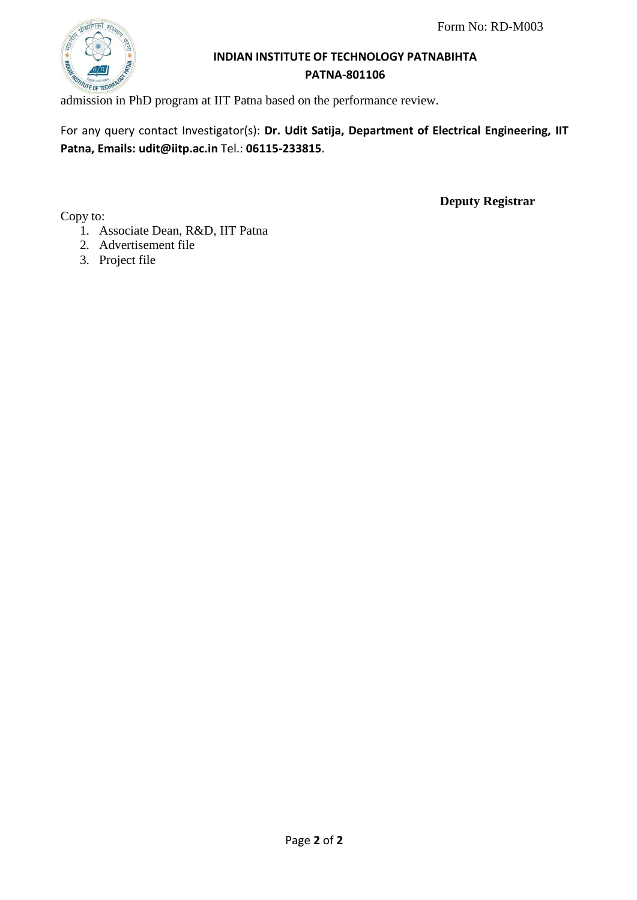

# **INDIAN INSTITUTE OF TECHNOLOGY PATNABIHTA PATNA-801106**

admission in PhD program at IIT Patna based on the performance review.

For any query contact Investigator(s): **Dr. Udit Satija, Department of Electrical Engineering, IIT Patna, Emails: [udit@iitp.ac.in](mailto:udit@iitp.ac.in)** Tel.: **06115-233815**.

Copy to:

**Deputy Registrar**

- 1. Associate Dean, R&D, IIT Patna
- 2. Advertisement file
- 3. Project file